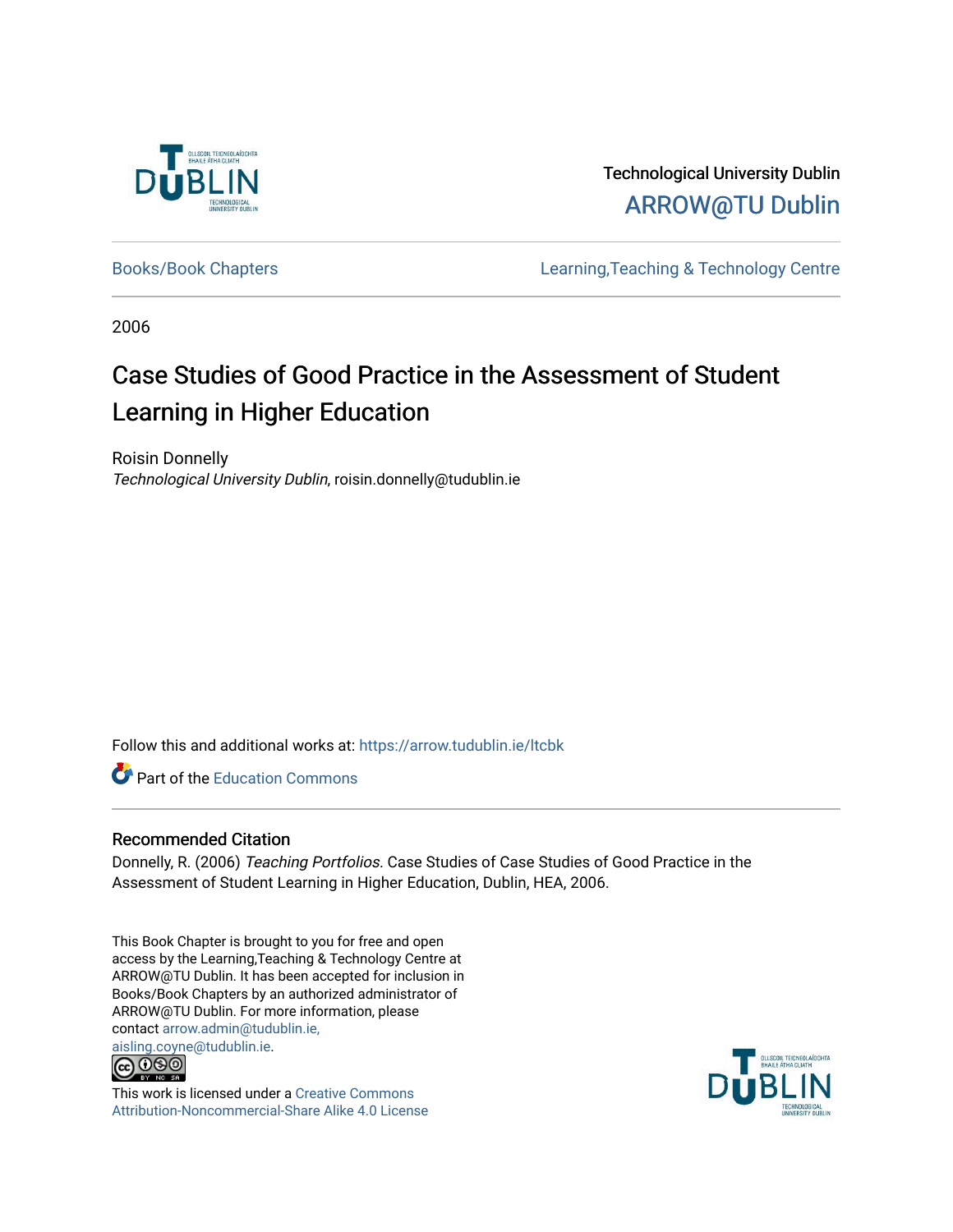

Technological University Dublin [ARROW@TU Dublin](https://arrow.tudublin.ie/) 

[Books/Book Chapters](https://arrow.tudublin.ie/ltcbk) [Learning,Teaching & Technology Centre](https://arrow.tudublin.ie/ltc) 

2006

# Case Studies of Good Practice in the Assessment of Student Learning in Higher Education

Roisin Donnelly Technological University Dublin, roisin.donnelly@tudublin.ie

Follow this and additional works at: [https://arrow.tudublin.ie/ltcbk](https://arrow.tudublin.ie/ltcbk?utm_source=arrow.tudublin.ie%2Fltcbk%2F10&utm_medium=PDF&utm_campaign=PDFCoverPages) 

**Part of the [Education Commons](http://network.bepress.com/hgg/discipline/784?utm_source=arrow.tudublin.ie%2Fltcbk%2F10&utm_medium=PDF&utm_campaign=PDFCoverPages)** 

#### Recommended Citation

Donnelly, R. (2006) Teaching Portfolios. Case Studies of Case Studies of Good Practice in the Assessment of Student Learning in Higher Education, Dublin, HEA, 2006.

This Book Chapter is brought to you for free and open access by the Learning,Teaching & Technology Centre at ARROW@TU Dublin. It has been accepted for inclusion in Books/Book Chapters by an authorized administrator of ARROW@TU Dublin. For more information, please contact [arrow.admin@tudublin.ie,](mailto:arrow.admin@tudublin.ie,%20aisling.coyne@tudublin.ie) 



This work is licensed under a [Creative Commons](http://creativecommons.org/licenses/by-nc-sa/4.0/) [Attribution-Noncommercial-Share Alike 4.0 License](http://creativecommons.org/licenses/by-nc-sa/4.0/)

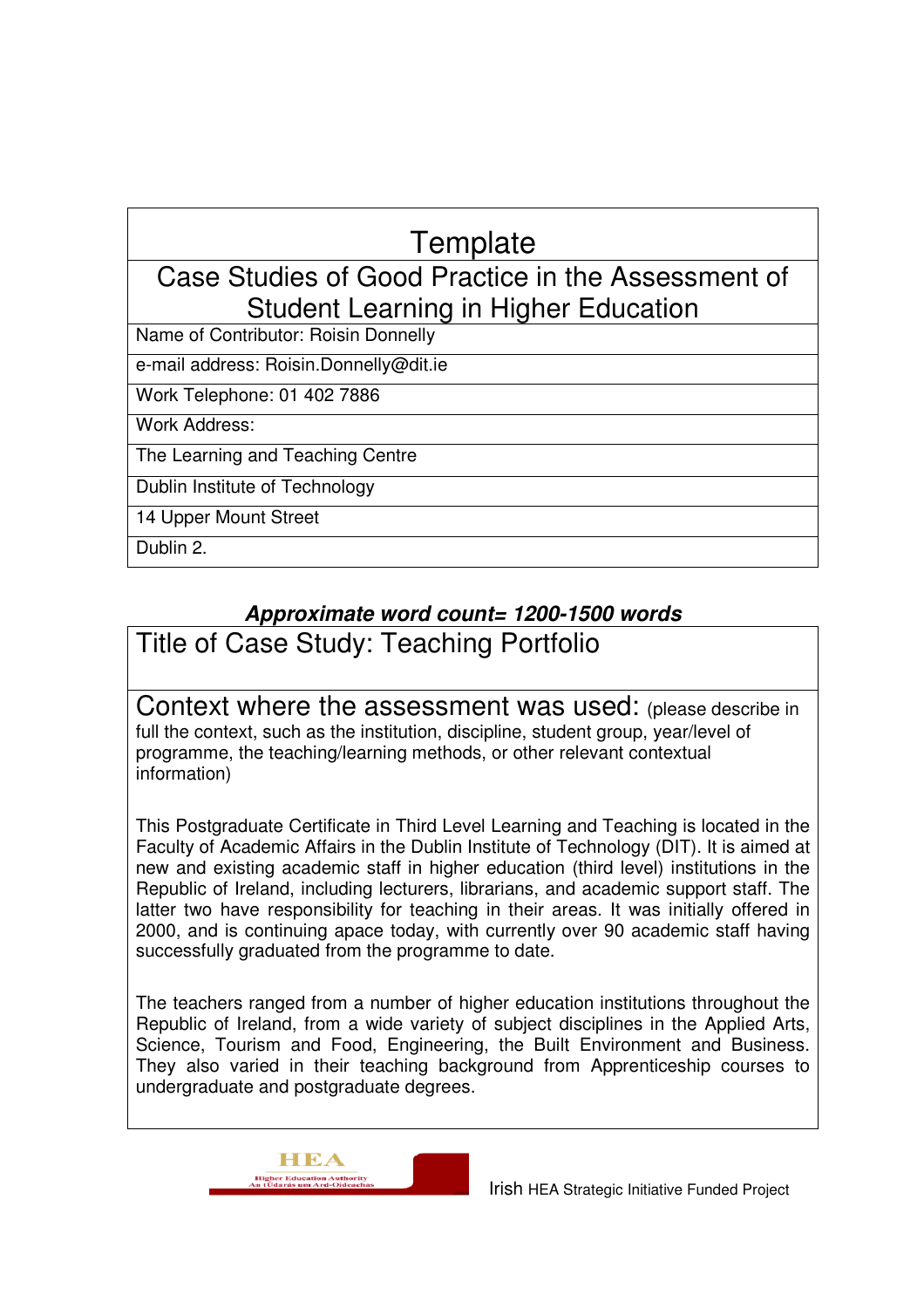# **Template**

### Case Studies of Good Practice in the Assessment of Student Learning in Higher Education

Name of Contributor: Roisin Donnelly

e-mail address: Roisin.Donnelly@dit.ie

Work Telephone: 01 402 7886

Work Address:

The Learning and Teaching Centre

Dublin Institute of Technology

14 Upper Mount Street

Dublin 2.

### **Approximate word count= 1200-1500 words**

Title of Case Study: Teaching Portfolio

Context where the assessment was used: (please describe in full the context, such as the institution, discipline, student group, year/level of programme, the teaching/learning methods, or other relevant contextual information)

This Postgraduate Certificate in Third Level Learning and Teaching is located in the Faculty of Academic Affairs in the Dublin Institute of Technology (DIT). It is aimed at new and existing academic staff in higher education (third level) institutions in the Republic of Ireland, including lecturers, librarians, and academic support staff. The latter two have responsibility for teaching in their areas. It was initially offered in 2000, and is continuing apace today, with currently over 90 academic staff having successfully graduated from the programme to date.

The teachers ranged from a number of higher education institutions throughout the Republic of Ireland, from a wide variety of subject disciplines in the Applied Arts, Science, Tourism and Food, Engineering, the Built Environment and Business. They also varied in their teaching background from Apprenticeship courses to undergraduate and postgraduate degrees.

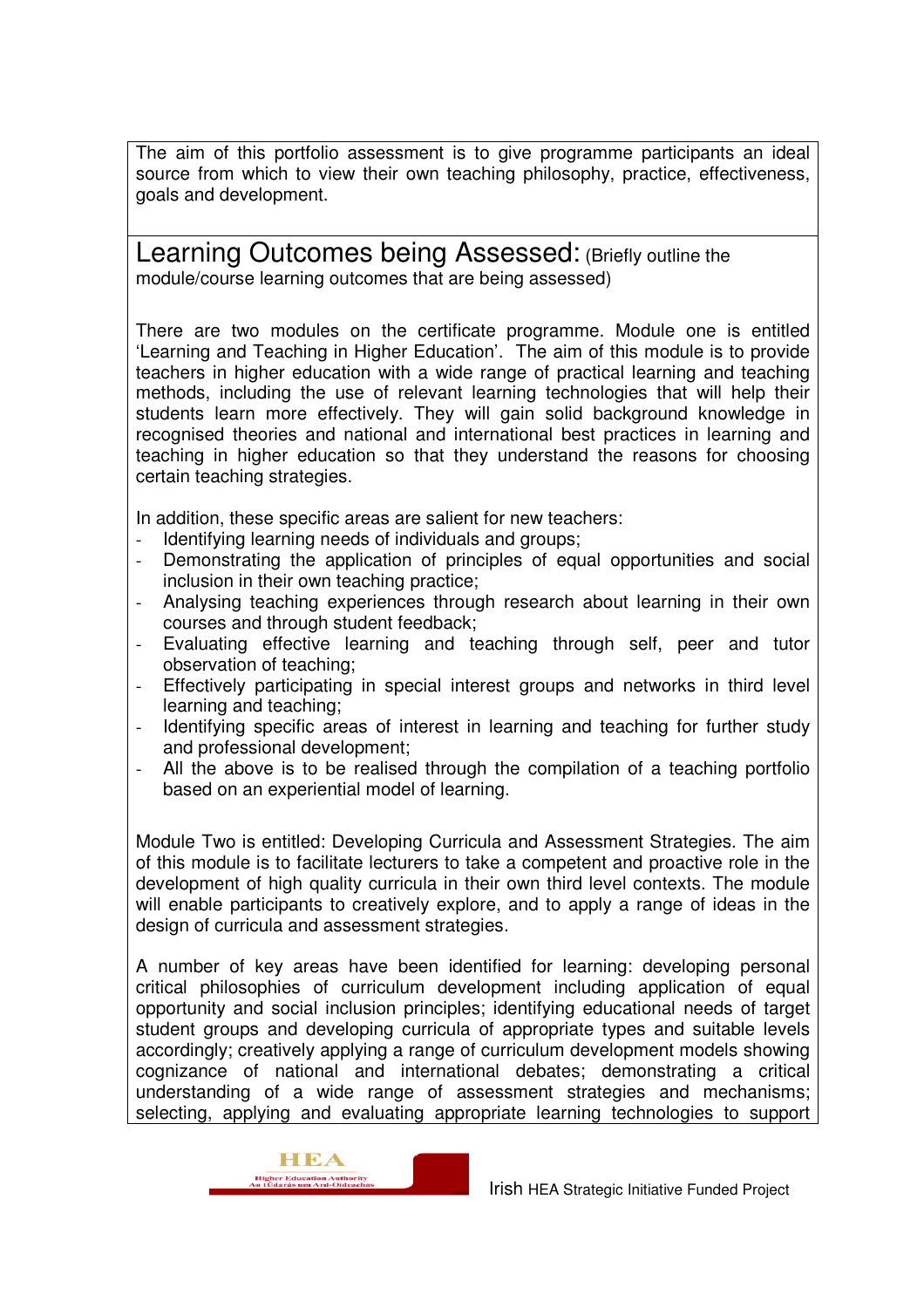The aim of this portfolio assessment is to give programme participants an ideal source from which to view their own teaching philosophy, practice, effectiveness, goals and development.

Learning Outcomes being Assessed: (Briefly outline the module/course learning outcomes that are being assessed)

There are two modules on the certificate programme. Module one is entitled 'Learning and Teaching in Higher Education'. The aim of this module is to provide teachers in higher education with a wide range of practical learning and teaching methods, including the use of relevant learning technologies that will help their students learn more effectively. They will gain solid background knowledge in recognised theories and national and international best practices in learning and teaching in higher education so that they understand the reasons for choosing certain teaching strategies.

In addition, these specific areas are salient for new teachers:

- Identifying learning needs of individuals and groups;
- Demonstrating the application of principles of equal opportunities and social inclusion in their own teaching practice;
- Analysing teaching experiences through research about learning in their own courses and through student feedback;
- Evaluating effective learning and teaching through self, peer and tutor observation of teaching;
- Effectively participating in special interest groups and networks in third level learning and teaching;
- Identifying specific areas of interest in learning and teaching for further study and professional development;
- All the above is to be realised through the compilation of a teaching portfolio based on an experiential model of learning.

Module Two is entitled: Developing Curricula and Assessment Strategies. The aim of this module is to facilitate lecturers to take a competent and proactive role in the development of high quality curricula in their own third level contexts. The module will enable participants to creatively explore, and to apply a range of ideas in the design of curricula and assessment strategies.

A number of key areas have been identified for learning: developing personal critical philosophies of curriculum development including application of equal opportunity and social inclusion principles; identifying educational needs of target student groups and developing curricula of appropriate types and suitable levels accordingly; creatively applying a range of curriculum development models showing cognizance of national and international debates; demonstrating a critical understanding of a wide range of assessment strategies and mechanisms; selecting, applying and evaluating appropriate learning technologies to support

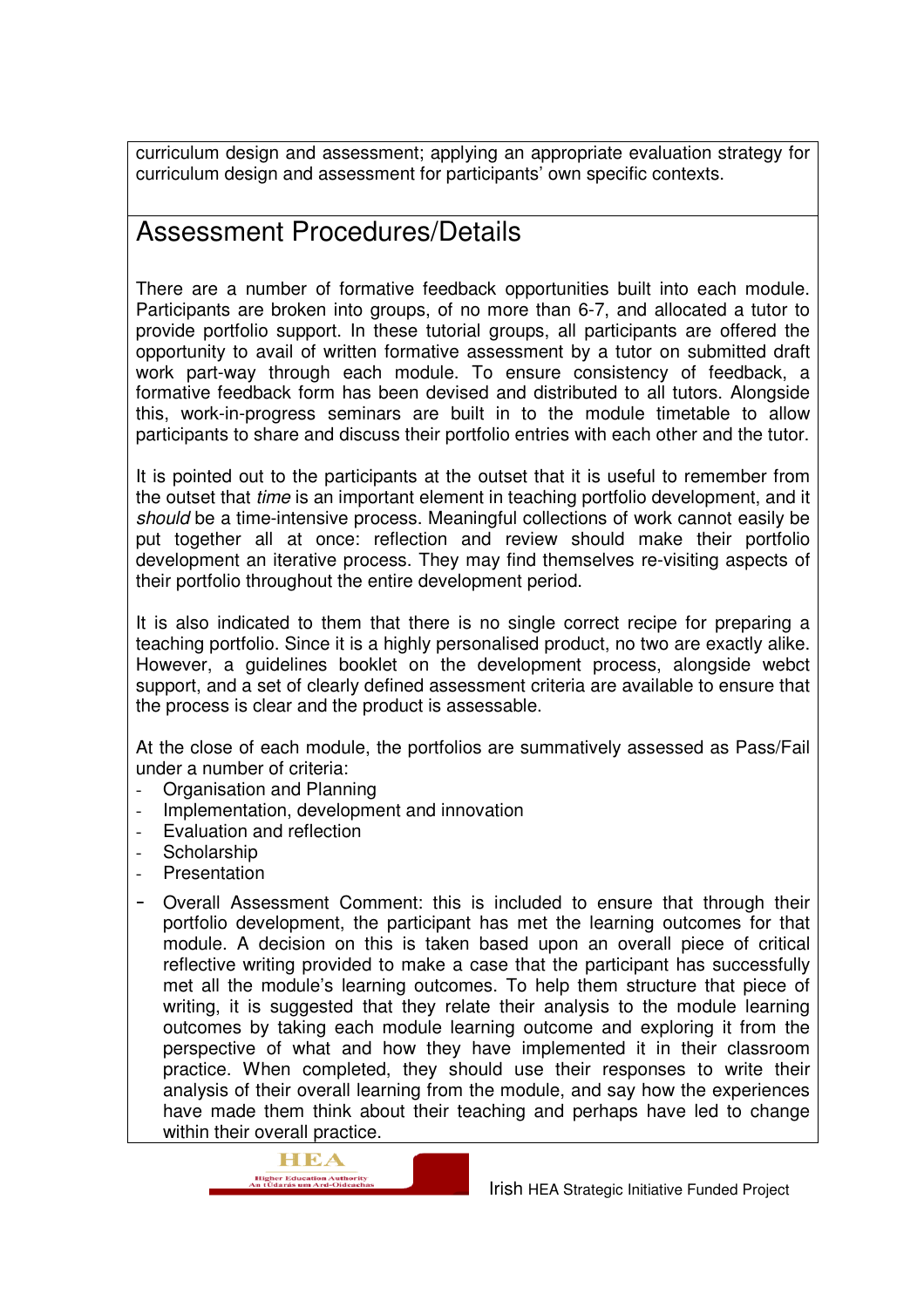curriculum design and assessment; applying an appropriate evaluation strategy for curriculum design and assessment for participants' own specific contexts.

## Assessment Procedures/Details

There are a number of formative feedback opportunities built into each module. Participants are broken into groups, of no more than 6-7, and allocated a tutor to provide portfolio support. In these tutorial groups, all participants are offered the opportunity to avail of written formative assessment by a tutor on submitted draft work part-way through each module. To ensure consistency of feedback, a formative feedback form has been devised and distributed to all tutors. Alongside this, work-in-progress seminars are built in to the module timetable to allow participants to share and discuss their portfolio entries with each other and the tutor.

It is pointed out to the participants at the outset that it is useful to remember from the outset that time is an important element in teaching portfolio development, and it should be a time-intensive process. Meaningful collections of work cannot easily be put together all at once: reflection and review should make their portfolio development an iterative process. They may find themselves re-visiting aspects of their portfolio throughout the entire development period.

It is also indicated to them that there is no single correct recipe for preparing a teaching portfolio. Since it is a highly personalised product, no two are exactly alike. However, a guidelines booklet on the development process, alongside webct support, and a set of clearly defined assessment criteria are available to ensure that the process is clear and the product is assessable.

At the close of each module, the portfolios are summatively assessed as Pass/Fail under a number of criteria:

- Organisation and Planning
- Implementation, development and innovation
- Evaluation and reflection
- Scholarship
- **Presentation**
- Overall Assessment Comment: this is included to ensure that through their portfolio development, the participant has met the learning outcomes for that module. A decision on this is taken based upon an overall piece of critical reflective writing provided to make a case that the participant has successfully met all the module's learning outcomes. To help them structure that piece of writing, it is suggested that they relate their analysis to the module learning outcomes by taking each module learning outcome and exploring it from the perspective of what and how they have implemented it in their classroom practice. When completed, they should use their responses to write their analysis of their overall learning from the module, and say how the experiences have made them think about their teaching and perhaps have led to change within their overall practice.

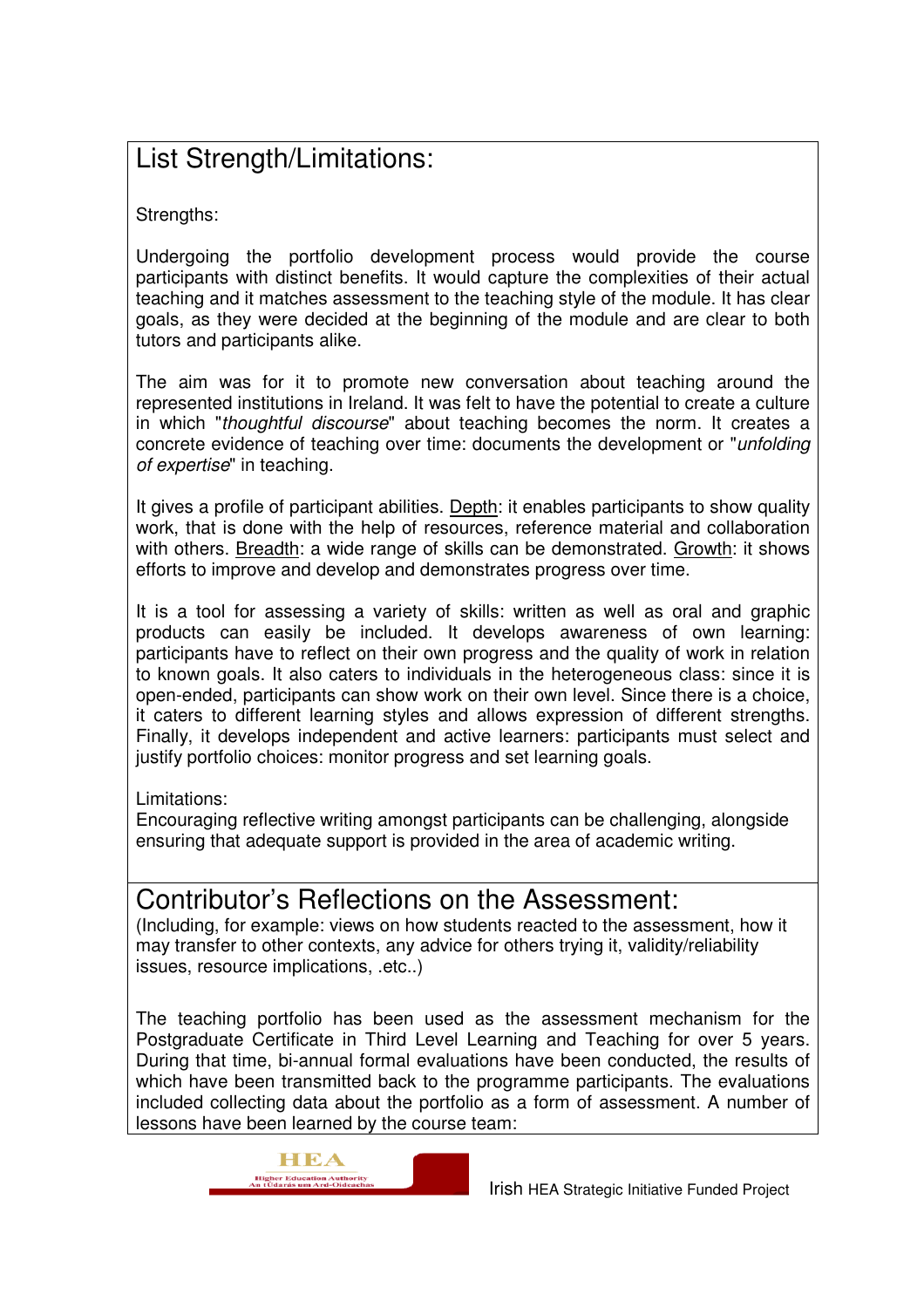# List Strength/Limitations:

Strengths:

Undergoing the portfolio development process would provide the course participants with distinct benefits. It would capture the complexities of their actual teaching and it matches assessment to the teaching style of the module. It has clear goals, as they were decided at the beginning of the module and are clear to both tutors and participants alike.

The aim was for it to promote new conversation about teaching around the represented institutions in Ireland. It was felt to have the potential to create a culture in which "thoughtful discourse" about teaching becomes the norm. It creates a concrete evidence of teaching over time: documents the development or "unfolding of expertise" in teaching.

It gives a profile of participant abilities. Depth: it enables participants to show quality work, that is done with the help of resources, reference material and collaboration with others. **Breadth:** a wide range of skills can be demonstrated. Growth: it shows efforts to improve and develop and demonstrates progress over time.

It is a tool for assessing a variety of skills: written as well as oral and graphic products can easily be included. It develops awareness of own learning: participants have to reflect on their own progress and the quality of work in relation to known goals. It also caters to individuals in the heterogeneous class: since it is open-ended, participants can show work on their own level. Since there is a choice, it caters to different learning styles and allows expression of different strengths. Finally, it develops independent and active learners: participants must select and justify portfolio choices: monitor progress and set learning goals.

Limitations:

Encouraging reflective writing amongst participants can be challenging, alongside ensuring that adequate support is provided in the area of academic writing.

### Contributor's Reflections on the Assessment:

(Including, for example: views on how students reacted to the assessment, how it may transfer to other contexts, any advice for others trying it, validity/reliability issues, resource implications, .etc..)

The teaching portfolio has been used as the assessment mechanism for the Postgraduate Certificate in Third Level Learning and Teaching for over 5 years. During that time, bi-annual formal evaluations have been conducted, the results of which have been transmitted back to the programme participants. The evaluations included collecting data about the portfolio as a form of assessment. A number of lessons have been learned by the course team: